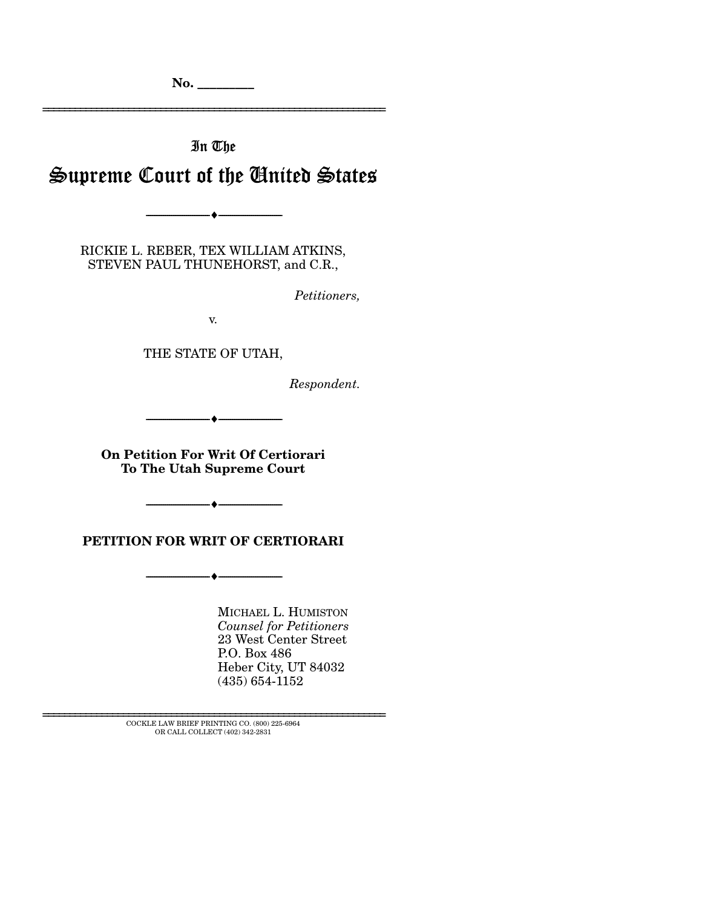**No. \_\_\_\_\_\_\_\_\_** 

# In The Supreme Court of the United States

================================================================

RICKIE L. REBER, TEX WILLIAM ATKINS,

 $-\bullet$  —

STEVEN PAUL THUNEHORST, and C.R.,

*Petitioners,* 

v.

THE STATE OF UTAH,

*Respondent.* 

--------------------------------- ♦ ---------------------------------

**On Petition For Writ Of Certiorari To The Utah Supreme Court** 

**PETITION FOR WRIT OF CERTIORARI** 

--------------------------------- ♦ ---------------------------------

--------------------------------- ♦ ---------------------------------

MICHAEL L. HUMISTON *Counsel for Petitioners*  23 West Center Street P.O. Box 486 Heber City, UT 84032 (435) 654-1152

 ${\rm COCKLE}$  LAW BRIEF PRINTING CO. (800) 225-6964 OR CALL COLLECT (402) 342-2831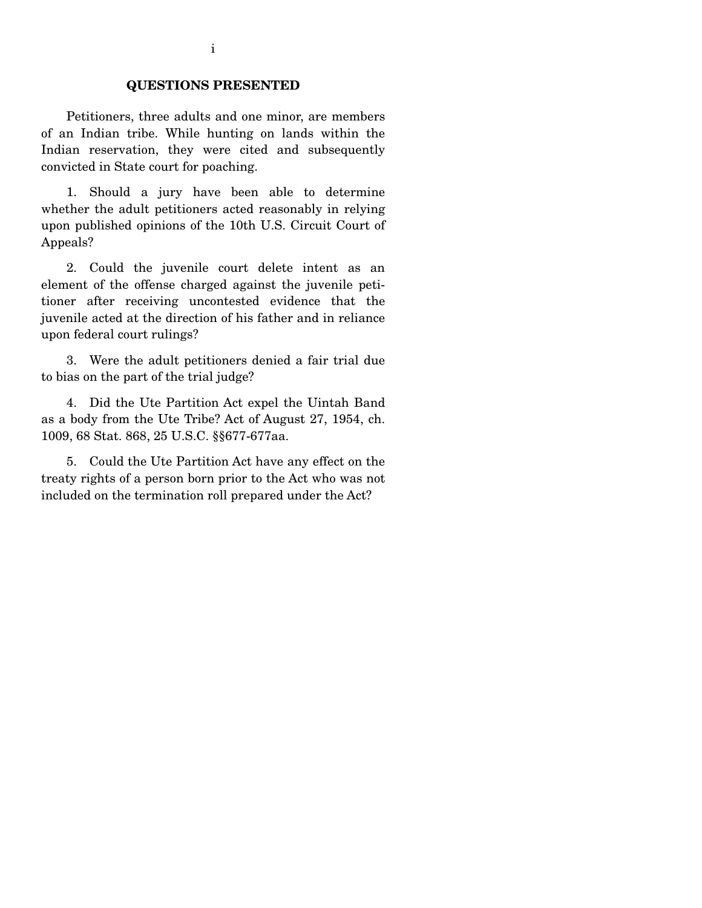#### **QUESTIONS PRESENTED**

 Petitioners, three adults and one minor, are members of an Indian tribe. While hunting on lands within the Indian reservation, they were cited and subsequently convicted in State court for poaching.

 1. Should a jury have been able to determine whether the adult petitioners acted reasonably in relying upon published opinions of the 10th U.S. Circuit Court of Appeals?

 2. Could the juvenile court delete intent as an element of the offense charged against the juvenile petitioner after receiving uncontested evidence that the juvenile acted at the direction of his father and in reliance upon federal court rulings?

 3. Were the adult petitioners denied a fair trial due to bias on the part of the trial judge?

 4. Did the Ute Partition Act expel the Uintah Band as a body from the Ute Tribe? Act of August 27, 1954, ch. 1009, 68 Stat. 868, 25 U.S.C. §§677-677aa.

 5. Could the Ute Partition Act have any effect on the treaty rights of a person born prior to the Act who was not included on the termination roll prepared under the Act?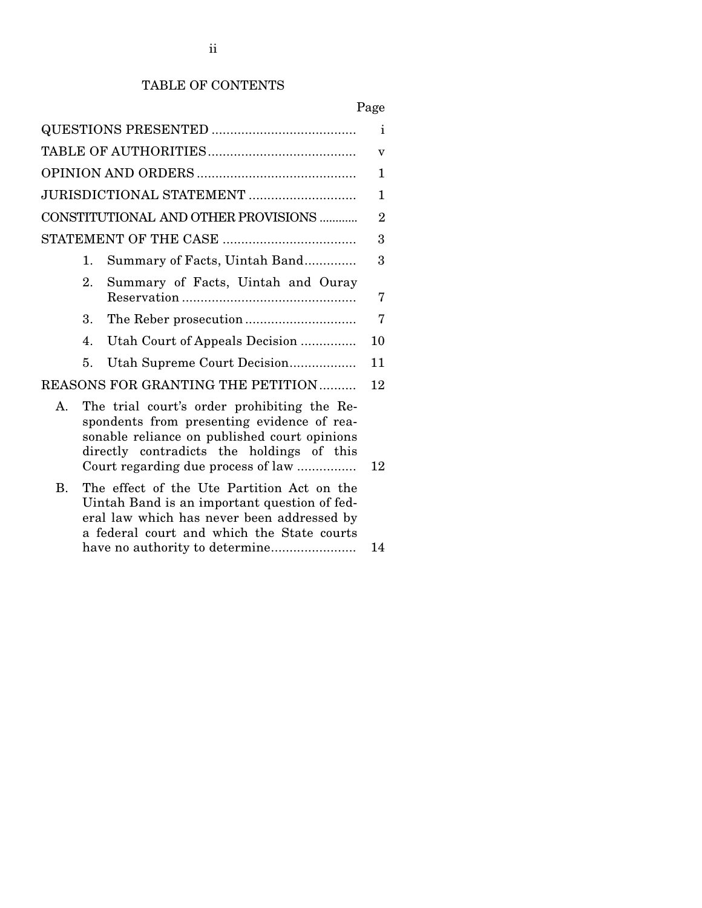# TABLE OF CONTENTS

# Page

|                                         | i              |                                                                                                                                                                                                                              |    |  |  |  |
|-----------------------------------------|----------------|------------------------------------------------------------------------------------------------------------------------------------------------------------------------------------------------------------------------------|----|--|--|--|
|                                         |                |                                                                                                                                                                                                                              |    |  |  |  |
|                                         |                |                                                                                                                                                                                                                              |    |  |  |  |
|                                         |                | JURISDICTIONAL STATEMENT                                                                                                                                                                                                     | 1  |  |  |  |
| CONSTITUTIONAL AND OTHER PROVISIONS     |                |                                                                                                                                                                                                                              |    |  |  |  |
|                                         |                |                                                                                                                                                                                                                              | 3  |  |  |  |
|                                         | 1.             | Summary of Facts, Uintah Band                                                                                                                                                                                                | 3  |  |  |  |
|                                         | 2.             | Summary of Facts, Uintah and Ouray                                                                                                                                                                                           | 7  |  |  |  |
|                                         | 3.             |                                                                                                                                                                                                                              | 7  |  |  |  |
|                                         | $\mathbf{4}$ . | Utah Court of Appeals Decision                                                                                                                                                                                               | 10 |  |  |  |
|                                         | 5.             | Utah Supreme Court Decision                                                                                                                                                                                                  | 11 |  |  |  |
| REASONS FOR GRANTING THE PETITION<br>12 |                |                                                                                                                                                                                                                              |    |  |  |  |
| $\mathbf{A}$                            |                | The trial court's order prohibiting the Re-<br>spondents from presenting evidence of rea-<br>sonable reliance on published court opinions<br>directly contradicts the holdings of this<br>Court regarding due process of law | 12 |  |  |  |
| <b>B.</b>                               |                | The effect of the Ute Partition Act on the<br>Uintah Band is an important question of fed-<br>eral law which has never been addressed by<br>a federal court and which the State courts                                       |    |  |  |  |
|                                         |                |                                                                                                                                                                                                                              | 14 |  |  |  |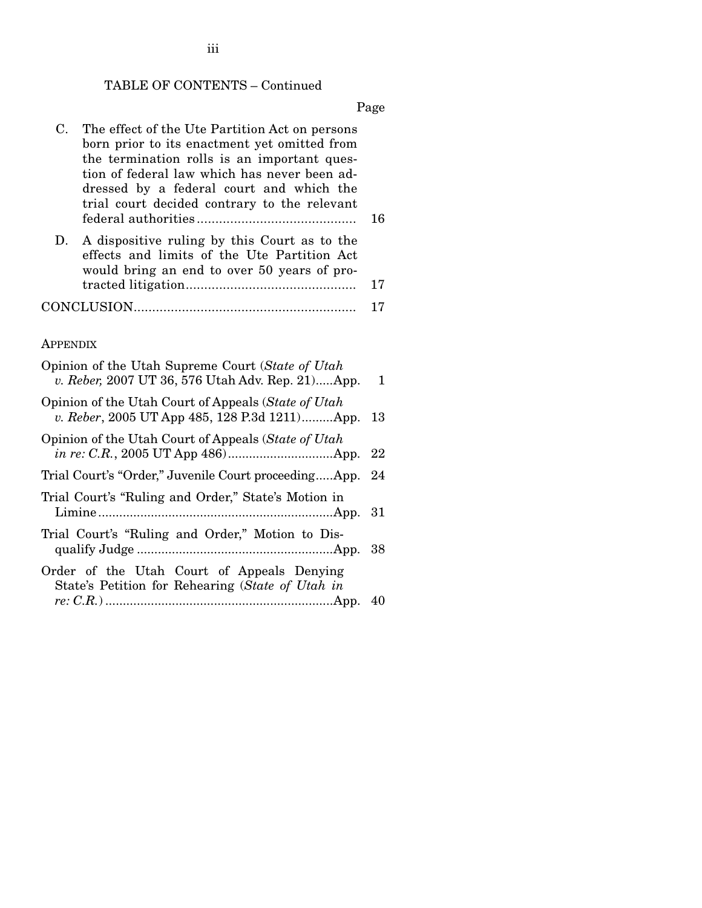# TABLE OF CONTENTS – Continued

Page

| C.              | The effect of the Ute Partition Act on persons<br>born prior to its enactment yet omitted from<br>the termination rolls is an important ques-<br>tion of federal law which has never been ad-<br>dressed by a federal court and which the<br>trial court decided contrary to the relevant | 16         |  |  |  |
|-----------------|-------------------------------------------------------------------------------------------------------------------------------------------------------------------------------------------------------------------------------------------------------------------------------------------|------------|--|--|--|
| D.              | A dispositive ruling by this Court as to the<br>effects and limits of the Ute Partition Act<br>would bring an end to over 50 years of pro-                                                                                                                                                | 17         |  |  |  |
|                 |                                                                                                                                                                                                                                                                                           | 17         |  |  |  |
|                 |                                                                                                                                                                                                                                                                                           |            |  |  |  |
| <b>APPENDIX</b> |                                                                                                                                                                                                                                                                                           |            |  |  |  |
|                 | Opinion of the Utah Supreme Court (State of Utah<br>v. Reber, 2007 UT 36, 576 Utah Adv. Rep. 21App.                                                                                                                                                                                       | 1          |  |  |  |
|                 | Opinion of the Utah Court of Appeals (State of Utah<br>v. Reber, 2005 UT App 485, 128 P.3d 1211)App.                                                                                                                                                                                      |            |  |  |  |
|                 | Opinion of the Utah Court of Appeals (State of Utah                                                                                                                                                                                                                                       | 22         |  |  |  |
|                 | Trial Court's "Order," Juvenile Court proceedingApp.                                                                                                                                                                                                                                      | 24         |  |  |  |
|                 | Trial Court's "Ruling and Order," State's Motion in                                                                                                                                                                                                                                       | 31         |  |  |  |
|                 | Trial Court's "Ruling and Order," Motion to Dis-                                                                                                                                                                                                                                          | 38         |  |  |  |
|                 | Order of the Utah Court of Appeals Denying<br>State's Petition for Rehearing (State of Utah in                                                                                                                                                                                            |            |  |  |  |
|                 |                                                                                                                                                                                                                                                                                           | $\sqrt{ }$ |  |  |  |

*re: C.R.*) .................................................................App. 040

iii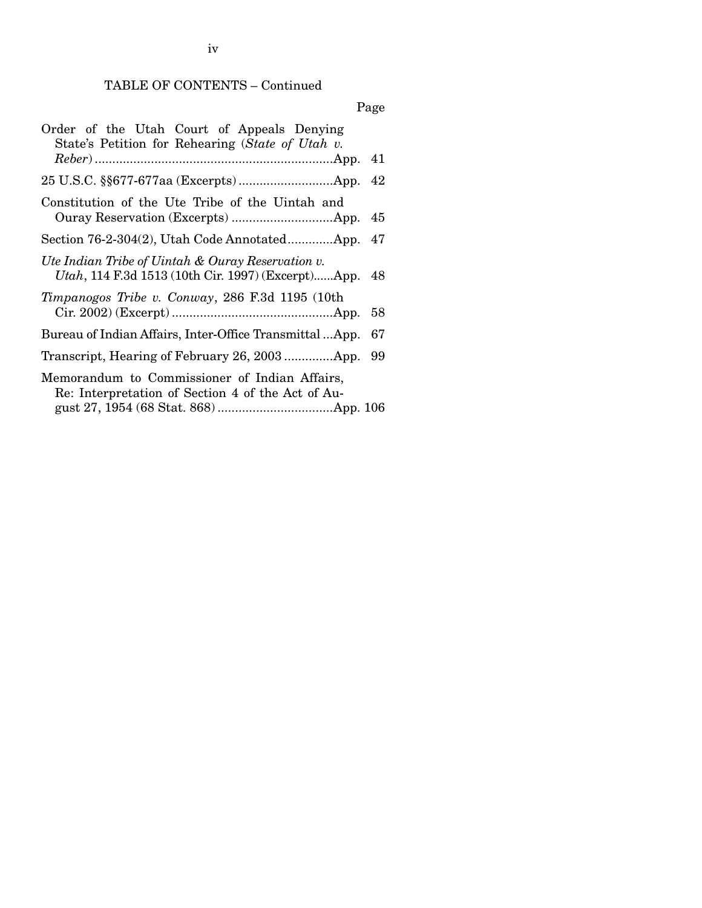# TABLE OF CONTENTS – Continued

# Page

| Order of the Utah Court of Appeals Denying<br>State's Petition for Rehearing (State of Utah v.          |    |
|---------------------------------------------------------------------------------------------------------|----|
|                                                                                                         |    |
|                                                                                                         |    |
| Constitution of the Ute Tribe of the Uintah and                                                         | 45 |
| Section 76-2-304(2), Utah Code AnnotatedApp.                                                            | 47 |
| Ute Indian Tribe of Uintah & Ouray Reservation v.<br>Utah, 114 F.3d 1513 (10th Cir. 1997) (Excerpt)App. | 48 |
| Timpanogos Tribe v. Conway, 286 F.3d 1195 (10th                                                         | 58 |
| Bureau of Indian Affairs, Inter-Office TransmittalApp.                                                  | 67 |
|                                                                                                         | 99 |
| Memorandum to Commissioner of Indian Affairs,<br>Re: Interpretation of Section 4 of the Act of Au-      |    |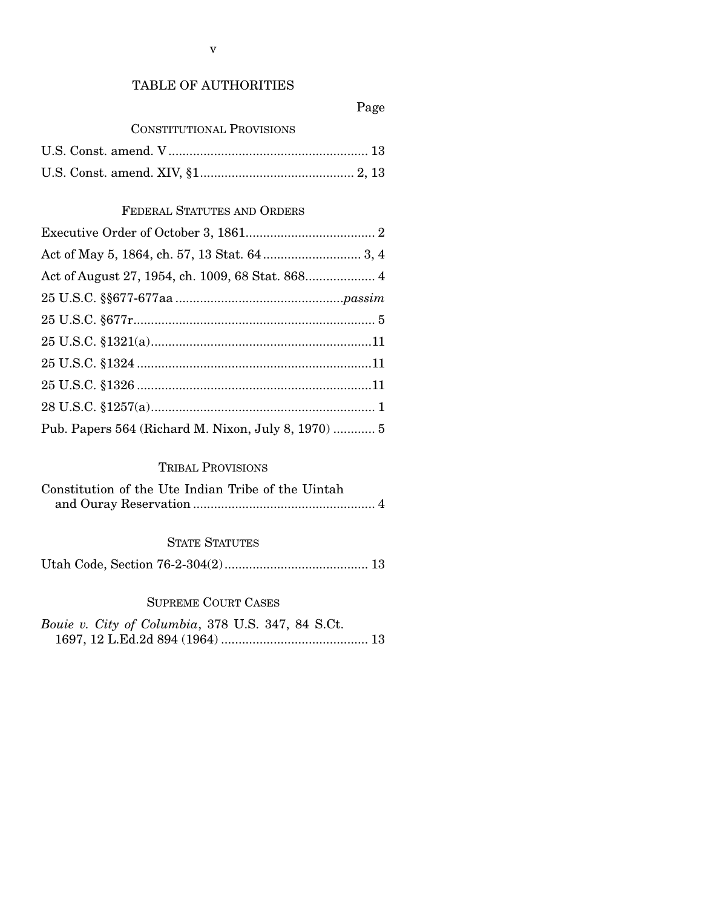#### TABLE OF AUTHORITIES

#### Page

#### CONSTITUTIONAL PROVISIONS

#### FEDERAL STATUTES AND ORDERS

| Pub. Papers 564 (Richard M. Nixon, July 8, 1970)  5 |
|-----------------------------------------------------|

#### TRIBAL PROVISIONS

| Constitution of the Ute Indian Tribe of the Uintah |  |
|----------------------------------------------------|--|
|                                                    |  |

#### STATE STATUTES

Utah Code, Section 76-2-304(2) ......................................... 13

#### SUPREME COURT CASES

*Bouie v. City of Columbia*, 378 U.S. 347, 84 S.Ct. 1697, 12 L.Ed.2d 894 (1964) .......................................... 13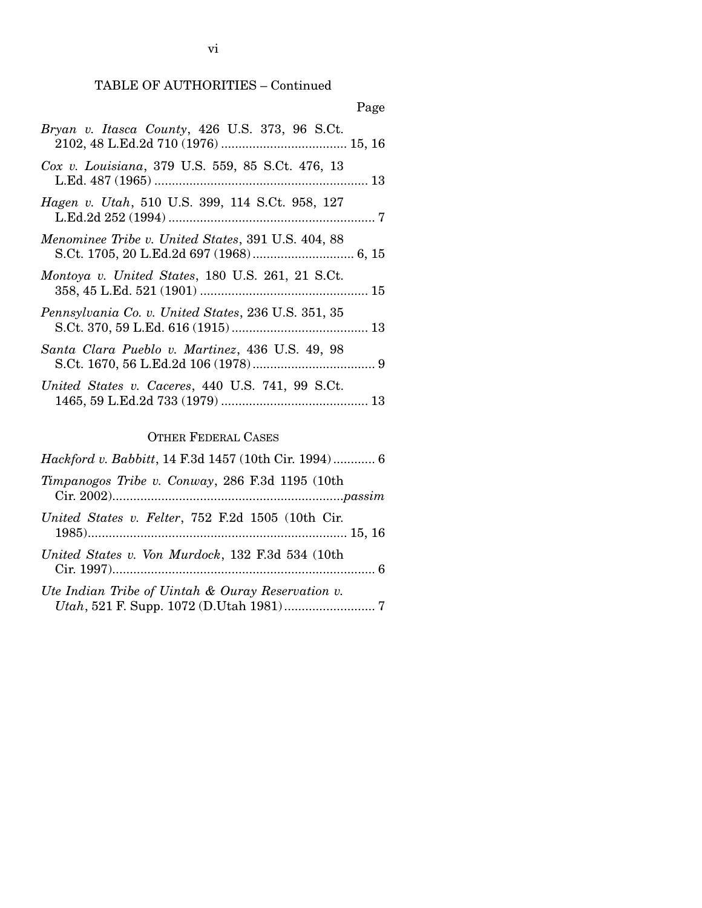## TABLE OF AUTHORITIES – Continued

| Page                                                |
|-----------------------------------------------------|
| Bryan v. Itasca County, 426 U.S. 373, 96 S.Ct.      |
| Cox v. Louisiana, 379 U.S. 559, 85 S.Ct. 476, 13    |
| Hagen v. Utah, 510 U.S. 399, 114 S.Ct. 958, 127     |
| Menominee Tribe v. United States, 391 U.S. 404, 88  |
| Montoya v. United States, 180 U.S. 261, 21 S.Ct.    |
| Pennsylvania Co. v. United States, 236 U.S. 351, 35 |
| Santa Clara Pueblo v. Martinez, 436 U.S. 49, 98     |

|  | United States v. Caceres, 440 U.S. 741, 99 S.Ct. |  |  |  |
|--|--------------------------------------------------|--|--|--|
|  |                                                  |  |  |  |

# OTHER FEDERAL CASES

| <i>Hackford v. Babbitt</i> , 14 F.3d 1457 (10th Cir. 1994) 6 |
|--------------------------------------------------------------|
| Timpanogos Tribe v. Conway, 286 F.3d 1195 (10th              |
| United States v. Felter, 752 F.2d 1505 (10th Cir.            |
| United States v. Von Murdock, 132 F.3d 534 (10th             |
| Ute Indian Tribe of Uintah & Ouray Reservation v.            |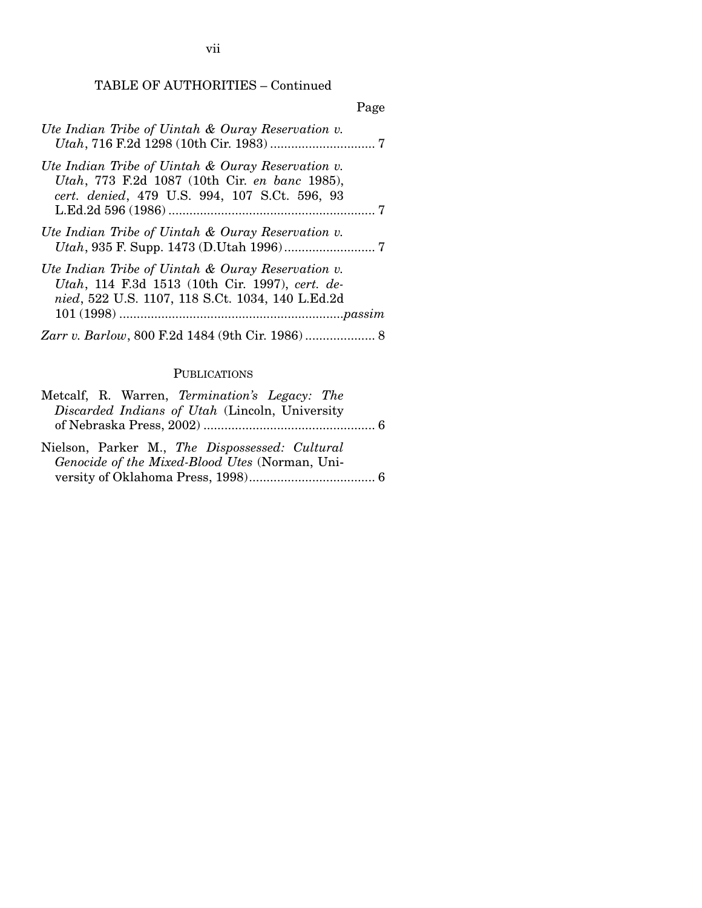TABLE OF AUTHORITIES – Continued

|                                                                                                                                                          | Page |
|----------------------------------------------------------------------------------------------------------------------------------------------------------|------|
| Ute Indian Tribe of Uintah & Ouray Reservation v.                                                                                                        |      |
| Ute Indian Tribe of Uintah & Ouray Reservation v.<br>Utah, 773 F.2d 1087 (10th Cir. en banc 1985),<br>cert. denied, 479 U.S. 994, 107 S.Ct. 596, 93      |      |
| Ute Indian Tribe of Uintah & Ouray Reservation v.                                                                                                        |      |
| Ute Indian Tribe of Uintah & Ouray Reservation v.<br>Utah, 114 F.3d 1513 (10th Cir. 1997), cert. de-<br>nied, 522 U.S. 1107, 118 S.Ct. 1034, 140 L.Ed.2d |      |
|                                                                                                                                                          |      |

### PUBLICATIONS

| Metcalf, R. Warren, Termination's Legacy: The  |
|------------------------------------------------|
| Discarded Indians of Utah (Lincoln, University |
|                                                |
| Nielson, Parker M., The Dispossessed: Cultural |
| Genocide of the Mixed-Blood Utes (Norman, Uni- |
|                                                |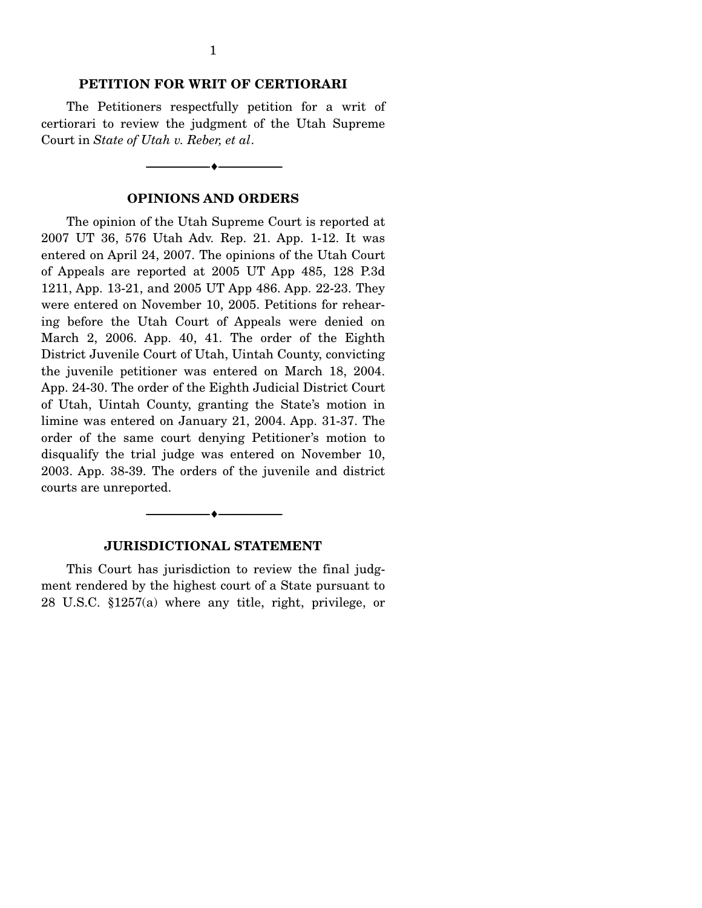#### **PETITION FOR WRIT OF CERTIORARI**

 The Petitioners respectfully petition for a writ of certiorari to review the judgment of the Utah Supreme Court in *State of Utah v. Reber, et al*.

#### **OPINIONS AND ORDERS**

--------------------------------- ♦ ---------------------------------

 The opinion of the Utah Supreme Court is reported at 2007 UT 36, 576 Utah Adv. Rep. 21. App. 1-12. It was entered on April 24, 2007. The opinions of the Utah Court of Appeals are reported at 2005 UT App 485, 128 P.3d 1211, App. 13-21, and 2005 UT App 486. App. 22-23. They were entered on November 10, 2005. Petitions for rehearing before the Utah Court of Appeals were denied on March 2, 2006. App. 40, 41. The order of the Eighth District Juvenile Court of Utah, Uintah County, convicting the juvenile petitioner was entered on March 18, 2004. App. 24-30. The order of the Eighth Judicial District Court of Utah, Uintah County, granting the State's motion in limine was entered on January 21, 2004. App. 31-37. The order of the same court denying Petitioner's motion to disqualify the trial judge was entered on November 10, 2003. App. 38-39. The orders of the juvenile and district courts are unreported.



 This Court has jurisdiction to review the final judgment rendered by the highest court of a State pursuant to 28 U.S.C. §1257(a) where any title, right, privilege, or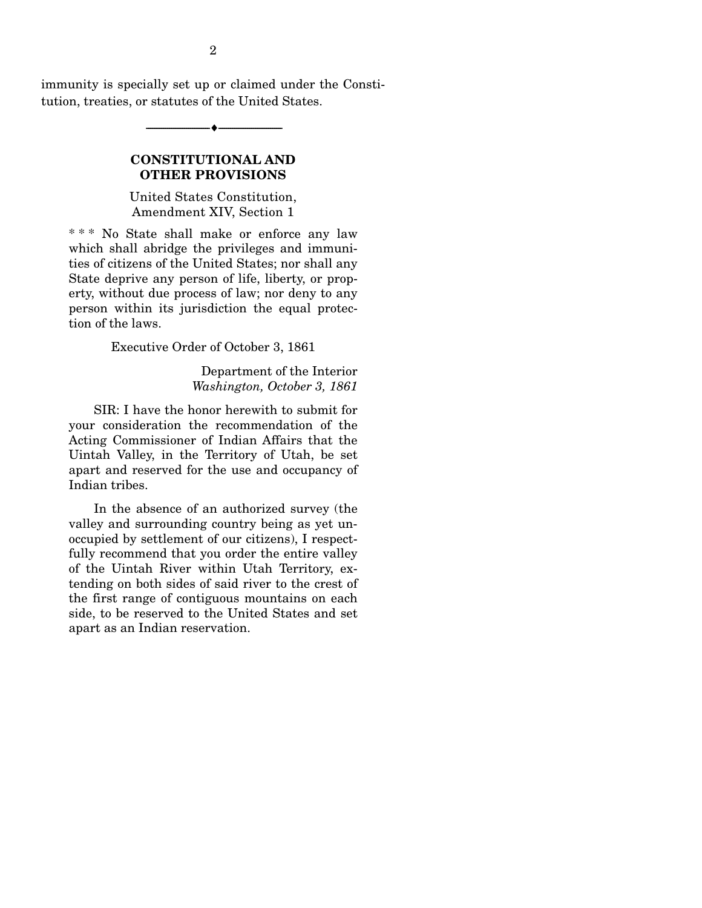immunity is specially set up or claimed under the Constitution, treaties, or statutes of the United States.

--------------------------------- ♦ ---------------------------------

#### **CONSTITUTIONAL AND OTHER PROVISIONS**

United States Constitution, Amendment XIV, Section 1

\* \* \* No State shall make or enforce any law which shall abridge the privileges and immunities of citizens of the United States; nor shall any State deprive any person of life, liberty, or property, without due process of law; nor deny to any person within its jurisdiction the equal protection of the laws.

Executive Order of October 3, 1861

Department of the Interior *Washington, October 3, 1861*

 SIR: I have the honor herewith to submit for your consideration the recommendation of the Acting Commissioner of Indian Affairs that the Uintah Valley, in the Territory of Utah, be set apart and reserved for the use and occupancy of Indian tribes.

 In the absence of an authorized survey (the valley and surrounding country being as yet unoccupied by settlement of our citizens), I respectfully recommend that you order the entire valley of the Uintah River within Utah Territory, extending on both sides of said river to the crest of the first range of contiguous mountains on each side, to be reserved to the United States and set apart as an Indian reservation.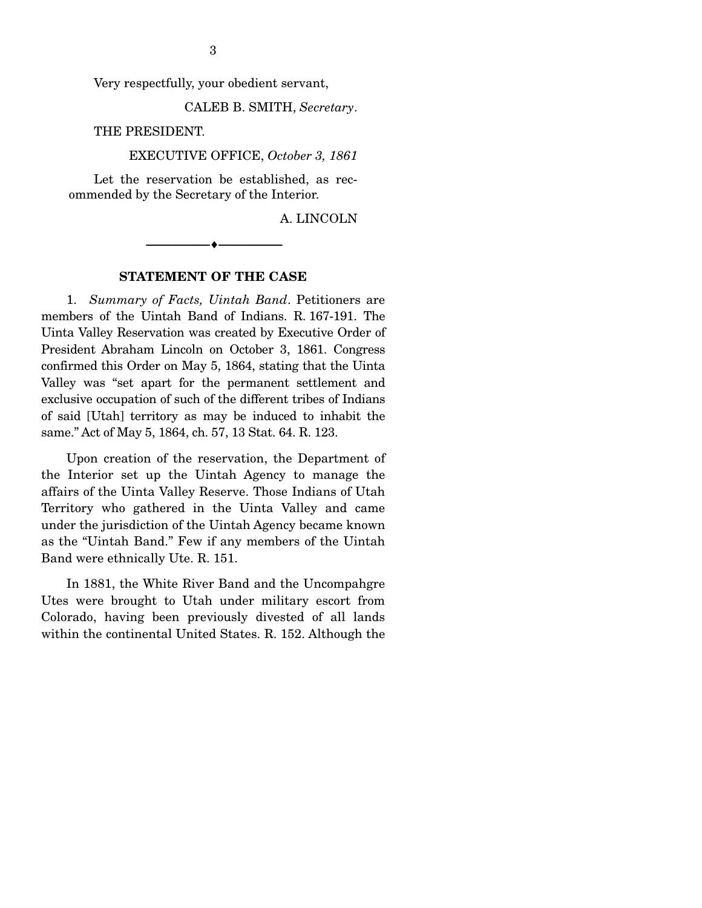Very respectfully, your obedient servant,

3

CALEB B. SMITH, *Secretary*.

THE PRESIDENT.

EXECUTIVE OFFICE, *October 3, 1861*

 Let the reservation be established, as recommended by the Secretary of the Interior.

A. LINCOLN

#### **STATEMENT OF THE CASE**

--------------------------------- ♦ ---------------------------------

 1. *Summary of Facts, Uintah Band*. Petitioners are members of the Uintah Band of Indians. R. 167-191. The Uinta Valley Reservation was created by Executive Order of President Abraham Lincoln on October 3, 1861. Congress confirmed this Order on May 5, 1864, stating that the Uinta Valley was "set apart for the permanent settlement and exclusive occupation of such of the different tribes of Indians of said [Utah] territory as may be induced to inhabit the same." Act of May 5, 1864, ch. 57, 13 Stat. 64. R. 123.

 Upon creation of the reservation, the Department of the Interior set up the Uintah Agency to manage the affairs of the Uinta Valley Reserve. Those Indians of Utah Territory who gathered in the Uinta Valley and came under the jurisdiction of the Uintah Agency became known as the "Uintah Band." Few if any members of the Uintah Band were ethnically Ute. R. 151.

 In 1881, the White River Band and the Uncompahgre Utes were brought to Utah under military escort from Colorado, having been previously divested of all lands within the continental United States. R. 152. Although the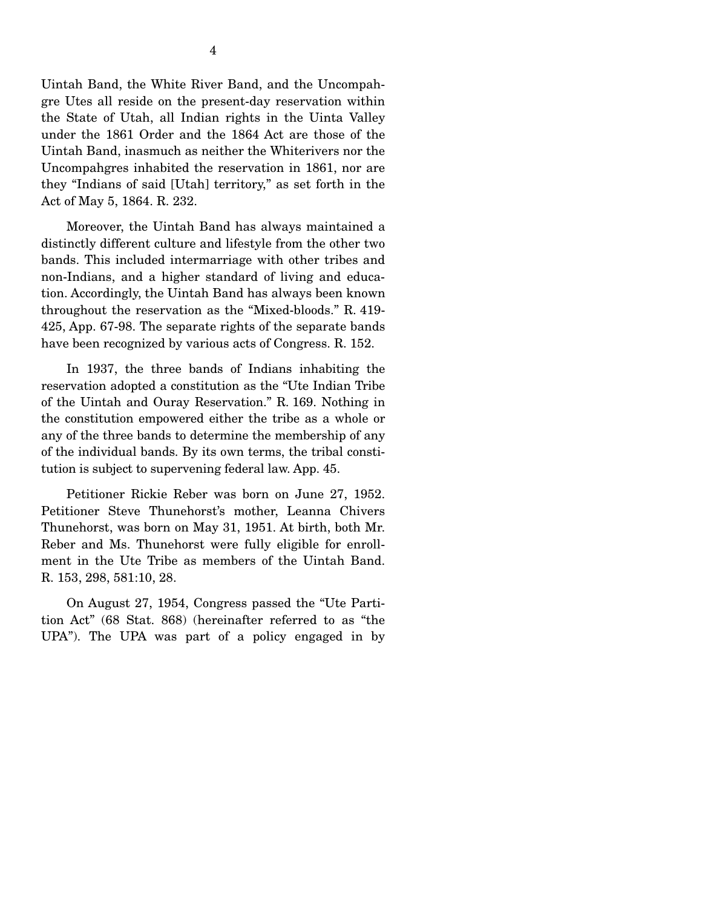Uintah Band, the White River Band, and the Uncompahgre Utes all reside on the present-day reservation within the State of Utah, all Indian rights in the Uinta Valley under the 1861 Order and the 1864 Act are those of the Uintah Band, inasmuch as neither the Whiterivers nor the Uncompahgres inhabited the reservation in 1861, nor are they "Indians of said [Utah] territory," as set forth in the Act of May 5, 1864. R. 232.

 Moreover, the Uintah Band has always maintained a distinctly different culture and lifestyle from the other two bands. This included intermarriage with other tribes and non-Indians, and a higher standard of living and education. Accordingly, the Uintah Band has always been known throughout the reservation as the "Mixed-bloods." R. 419- 425, App. 67-98. The separate rights of the separate bands have been recognized by various acts of Congress. R. 152.

 In 1937, the three bands of Indians inhabiting the reservation adopted a constitution as the "Ute Indian Tribe of the Uintah and Ouray Reservation." R. 169. Nothing in the constitution empowered either the tribe as a whole or any of the three bands to determine the membership of any of the individual bands. By its own terms, the tribal constitution is subject to supervening federal law. App. 45.

 Petitioner Rickie Reber was born on June 27, 1952. Petitioner Steve Thunehorst's mother, Leanna Chivers Thunehorst, was born on May 31, 1951. At birth, both Mr. Reber and Ms. Thunehorst were fully eligible for enrollment in the Ute Tribe as members of the Uintah Band. R. 153, 298, 581:10, 28.

 On August 27, 1954, Congress passed the "Ute Partition Act" (68 Stat. 868) (hereinafter referred to as "the UPA"). The UPA was part of a policy engaged in by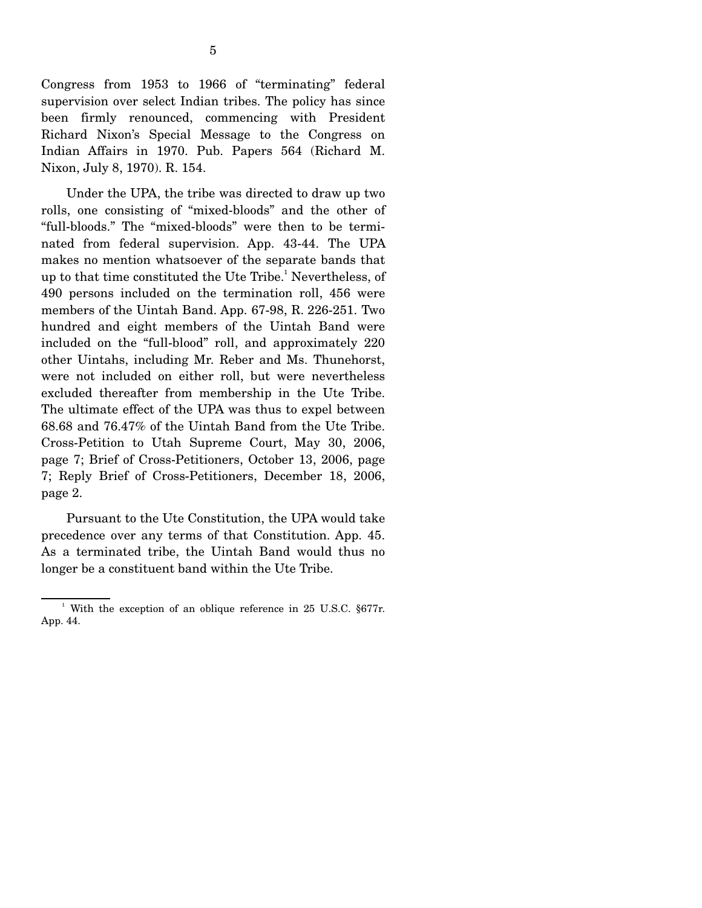Congress from 1953 to 1966 of "terminating" federal supervision over select Indian tribes. The policy has since been firmly renounced, commencing with President Richard Nixon's Special Message to the Congress on Indian Affairs in 1970. Pub. Papers 564 (Richard M. Nixon, July 8, 1970). R. 154.

 Under the UPA, the tribe was directed to draw up two rolls, one consisting of "mixed-bloods" and the other of "full-bloods." The "mixed-bloods" were then to be terminated from federal supervision. App. 43-44. The UPA makes no mention whatsoever of the separate bands that up to that time constituted the Ute Tribe.<sup>1</sup> Nevertheless, of 490 persons included on the termination roll, 456 were members of the Uintah Band. App. 67-98, R. 226-251. Two hundred and eight members of the Uintah Band were included on the "full-blood" roll, and approximately 220 other Uintahs, including Mr. Reber and Ms. Thunehorst, were not included on either roll, but were nevertheless excluded thereafter from membership in the Ute Tribe. The ultimate effect of the UPA was thus to expel between 68.68 and 76.47% of the Uintah Band from the Ute Tribe. Cross-Petition to Utah Supreme Court, May 30, 2006, page 7; Brief of Cross-Petitioners, October 13, 2006, page 7; Reply Brief of Cross-Petitioners, December 18, 2006, page 2.

 Pursuant to the Ute Constitution, the UPA would take precedence over any terms of that Constitution. App. 45. As a terminated tribe, the Uintah Band would thus no longer be a constituent band within the Ute Tribe.

<sup>&</sup>lt;sup>1</sup> With the exception of an oblique reference in 25 U.S.C. §677r. App. 44.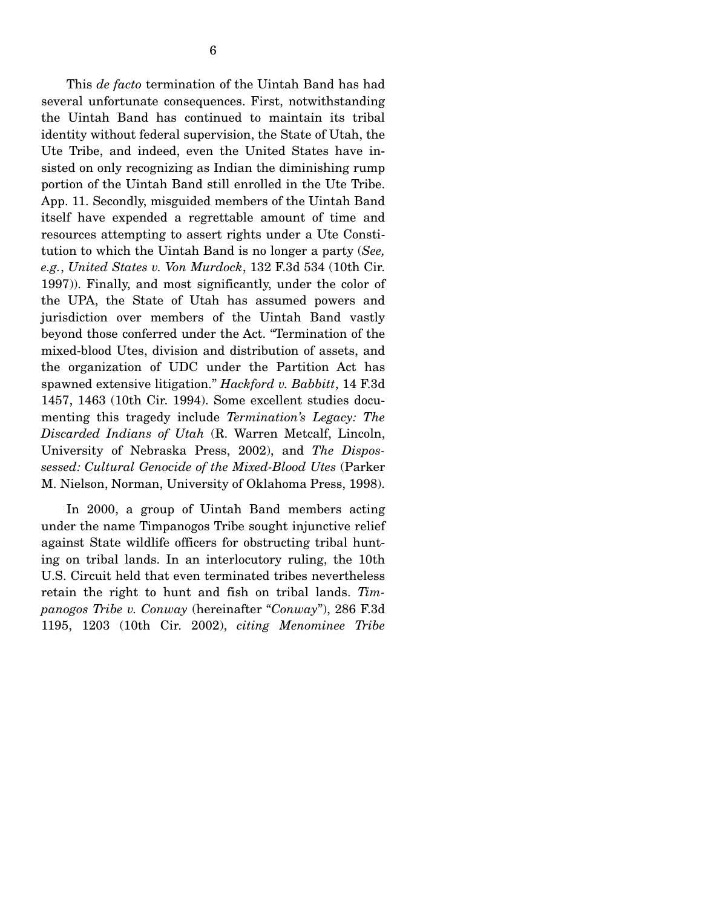This *de facto* termination of the Uintah Band has had several unfortunate consequences. First, notwithstanding the Uintah Band has continued to maintain its tribal identity without federal supervision, the State of Utah, the Ute Tribe, and indeed, even the United States have insisted on only recognizing as Indian the diminishing rump portion of the Uintah Band still enrolled in the Ute Tribe. App. 11. Secondly, misguided members of the Uintah Band itself have expended a regrettable amount of time and resources attempting to assert rights under a Ute Constitution to which the Uintah Band is no longer a party (*See, e.g.*, *United States v. Von Murdock*, 132 F.3d 534 (10th Cir. 1997)). Finally, and most significantly, under the color of the UPA, the State of Utah has assumed powers and jurisdiction over members of the Uintah Band vastly beyond those conferred under the Act. "Termination of the mixed-blood Utes, division and distribution of assets, and the organization of UDC under the Partition Act has spawned extensive litigation." *Hackford v. Babbitt*, 14 F.3d 1457, 1463 (10th Cir. 1994). Some excellent studies documenting this tragedy include *Termination's Legacy: The Discarded Indians of Utah* (R. Warren Metcalf, Lincoln, University of Nebraska Press, 2002), and *The Dispossessed: Cultural Genocide of the Mixed-Blood Utes* (Parker M. Nielson, Norman, University of Oklahoma Press, 1998).

 In 2000, a group of Uintah Band members acting under the name Timpanogos Tribe sought injunctive relief against State wildlife officers for obstructing tribal hunting on tribal lands. In an interlocutory ruling, the 10th U.S. Circuit held that even terminated tribes nevertheless retain the right to hunt and fish on tribal lands. *Timpanogos Tribe v. Conway* (hereinafter "*Conway*"), 286 F.3d 1195, 1203 (10th Cir. 2002), *citing Menominee Tribe*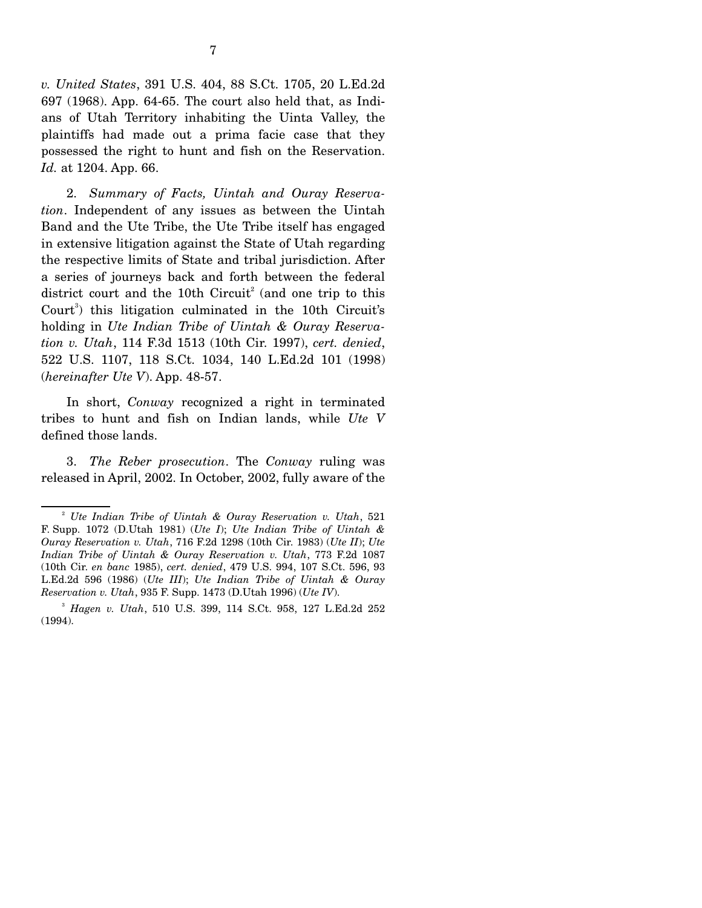*v. United States*, 391 U.S. 404, 88 S.Ct. 1705, 20 L.Ed.2d 697 (1968). App. 64-65. The court also held that, as Indians of Utah Territory inhabiting the Uinta Valley, the plaintiffs had made out a prima facie case that they possessed the right to hunt and fish on the Reservation. *Id.* at 1204. App. 66.

 2. *Summary of Facts, Uintah and Ouray Reservation*. Independent of any issues as between the Uintah Band and the Ute Tribe, the Ute Tribe itself has engaged in extensive litigation against the State of Utah regarding the respective limits of State and tribal jurisdiction. After a series of journeys back and forth between the federal district court and the 10th Circuit<sup>2</sup> (and one trip to this Court<sup>3</sup>) this litigation culminated in the 10th Circuit's holding in *Ute Indian Tribe of Uintah & Ouray Reservation v. Utah*, 114 F.3d 1513 (10th Cir. 1997), *cert. denied*, 522 U.S. 1107, 118 S.Ct. 1034, 140 L.Ed.2d 101 (1998) (*hereinafter Ute V*). App. 48-57.

 In short, *Conway* recognized a right in terminated tribes to hunt and fish on Indian lands, while *Ute V* defined those lands.

 3. *The Reber prosecution*. The *Conway* ruling was released in April, 2002. In October, 2002, fully aware of the

<sup>2</sup> *Ute Indian Tribe of Uintah & Ouray Reservation v. Utah*, 521 F. Supp. 1072 (D.Utah 1981) (*Ute I*); *Ute Indian Tribe of Uintah & Ouray Reservation v. Utah*, 716 F.2d 1298 (10th Cir. 1983) (*Ute II*); *Ute Indian Tribe of Uintah & Ouray Reservation v. Utah*, 773 F.2d 1087 (10th Cir. *en banc* 1985), *cert. denied*, 479 U.S. 994, 107 S.Ct. 596, 93 L.Ed.2d 596 (1986) (*Ute III*); *Ute Indian Tribe of Uintah & Ouray Reservation v. Utah*, 935 F. Supp. 1473 (D.Utah 1996) (*Ute IV*).

<sup>3</sup> *Hagen v. Utah*, 510 U.S. 399, 114 S.Ct. 958, 127 L.Ed.2d 252 (1994).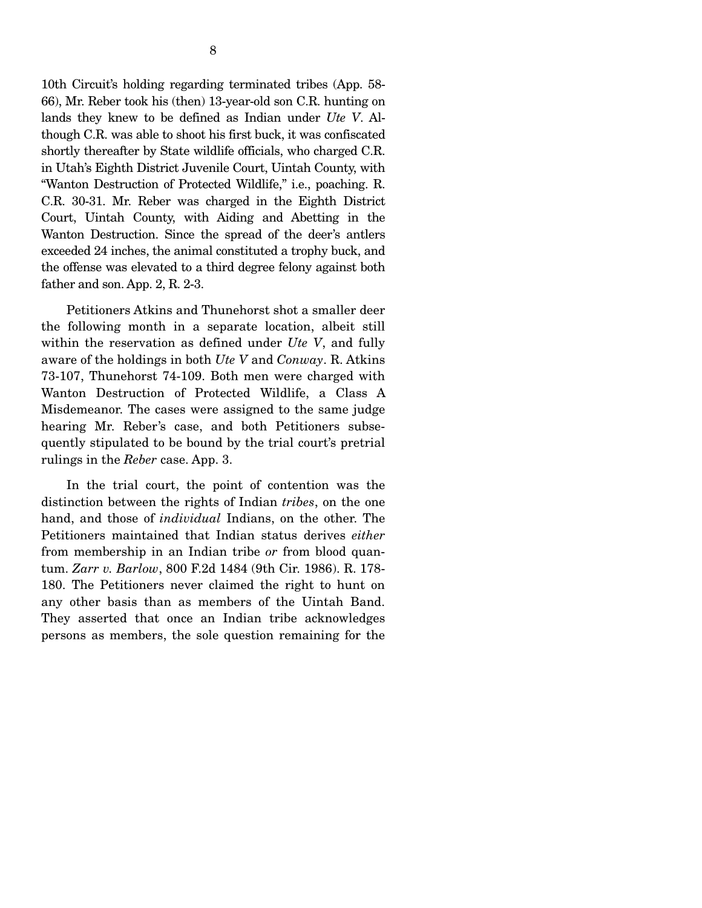10th Circuit's holding regarding terminated tribes (App. 58- 66), Mr. Reber took his (then) 13-year-old son C.R. hunting on lands they knew to be defined as Indian under *Ute V*. Although C.R. was able to shoot his first buck, it was confiscated shortly thereafter by State wildlife officials, who charged C.R. in Utah's Eighth District Juvenile Court, Uintah County, with "Wanton Destruction of Protected Wildlife," i.e., poaching. R. C.R. 30-31. Mr. Reber was charged in the Eighth District Court, Uintah County, with Aiding and Abetting in the Wanton Destruction. Since the spread of the deer's antlers exceeded 24 inches, the animal constituted a trophy buck, and the offense was elevated to a third degree felony against both father and son. App. 2, R. 2-3.

 Petitioners Atkins and Thunehorst shot a smaller deer the following month in a separate location, albeit still within the reservation as defined under *Ute V*, and fully aware of the holdings in both *Ute V* and *Conway*. R. Atkins 73-107, Thunehorst 74-109. Both men were charged with Wanton Destruction of Protected Wildlife, a Class A Misdemeanor. The cases were assigned to the same judge hearing Mr. Reber's case, and both Petitioners subsequently stipulated to be bound by the trial court's pretrial rulings in the *Reber* case. App. 3.

 In the trial court, the point of contention was the distinction between the rights of Indian *tribes*, on the one hand, and those of *individual* Indians, on the other. The Petitioners maintained that Indian status derives *either* from membership in an Indian tribe *or* from blood quantum. *Zarr v. Barlow*, 800 F.2d 1484 (9th Cir. 1986). R. 178- 180. The Petitioners never claimed the right to hunt on any other basis than as members of the Uintah Band. They asserted that once an Indian tribe acknowledges persons as members, the sole question remaining for the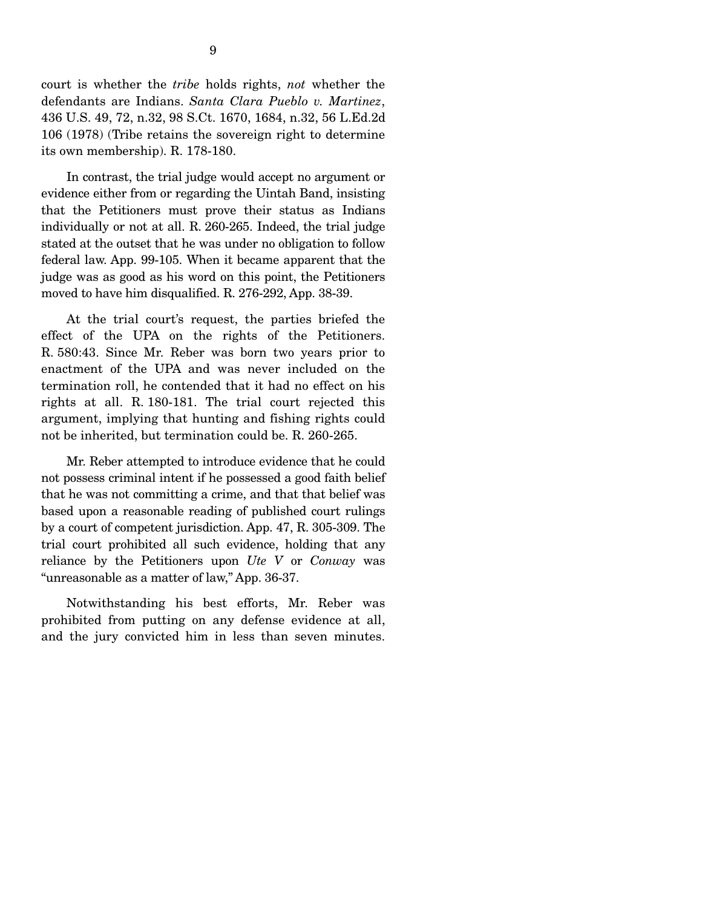court is whether the *tribe* holds rights, *not* whether the defendants are Indians. *Santa Clara Pueblo v. Martinez*, 436 U.S. 49, 72, n.32, 98 S.Ct. 1670, 1684, n.32, 56 L.Ed.2d 106 (1978) (Tribe retains the sovereign right to determine its own membership). R. 178-180.

 In contrast, the trial judge would accept no argument or evidence either from or regarding the Uintah Band, insisting that the Petitioners must prove their status as Indians individually or not at all. R. 260-265. Indeed, the trial judge stated at the outset that he was under no obligation to follow federal law. App. 99-105. When it became apparent that the judge was as good as his word on this point, the Petitioners moved to have him disqualified. R. 276-292, App. 38-39.

 At the trial court's request, the parties briefed the effect of the UPA on the rights of the Petitioners. R. 580:43. Since Mr. Reber was born two years prior to enactment of the UPA and was never included on the termination roll, he contended that it had no effect on his rights at all. R. 180-181. The trial court rejected this argument, implying that hunting and fishing rights could not be inherited, but termination could be. R. 260-265.

 Mr. Reber attempted to introduce evidence that he could not possess criminal intent if he possessed a good faith belief that he was not committing a crime, and that that belief was based upon a reasonable reading of published court rulings by a court of competent jurisdiction. App. 47, R. 305-309. The trial court prohibited all such evidence, holding that any reliance by the Petitioners upon *Ute V* or *Conway* was "unreasonable as a matter of law," App. 36-37.

 Notwithstanding his best efforts, Mr. Reber was prohibited from putting on any defense evidence at all, and the jury convicted him in less than seven minutes.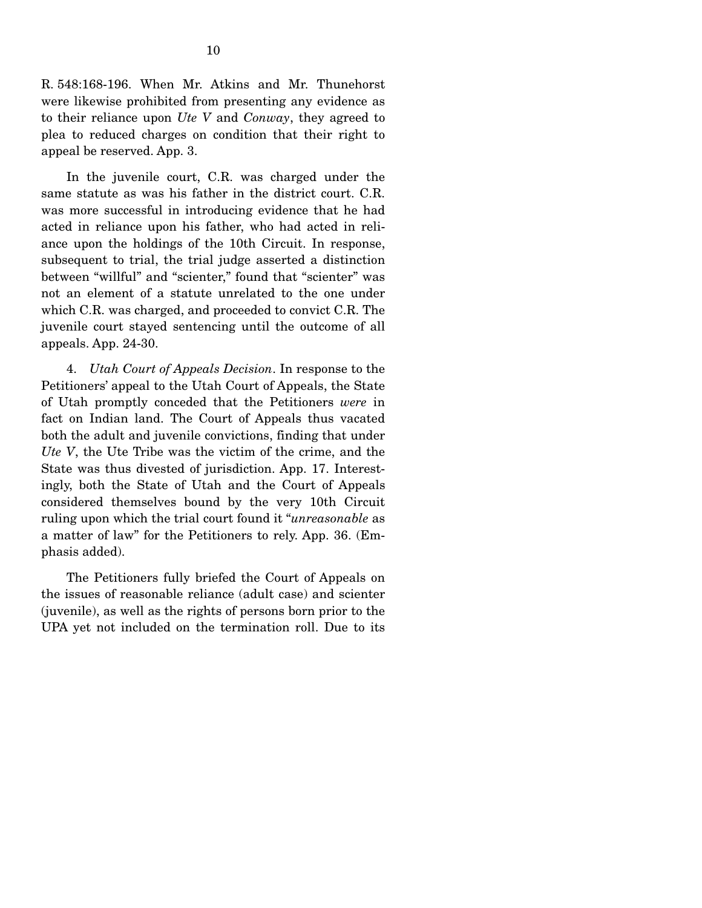R. 548:168-196. When Mr. Atkins and Mr. Thunehorst were likewise prohibited from presenting any evidence as to their reliance upon *Ute V* and *Conway*, they agreed to plea to reduced charges on condition that their right to appeal be reserved. App. 3.

 In the juvenile court, C.R. was charged under the same statute as was his father in the district court. C.R. was more successful in introducing evidence that he had acted in reliance upon his father, who had acted in reliance upon the holdings of the 10th Circuit. In response, subsequent to trial, the trial judge asserted a distinction between "willful" and "scienter," found that "scienter" was not an element of a statute unrelated to the one under which C.R. was charged, and proceeded to convict C.R. The juvenile court stayed sentencing until the outcome of all appeals. App. 24-30.

 4. *Utah Court of Appeals Decision*. In response to the Petitioners' appeal to the Utah Court of Appeals, the State of Utah promptly conceded that the Petitioners *were* in fact on Indian land. The Court of Appeals thus vacated both the adult and juvenile convictions, finding that under *Ute V*, the Ute Tribe was the victim of the crime, and the State was thus divested of jurisdiction. App. 17. Interestingly, both the State of Utah and the Court of Appeals considered themselves bound by the very 10th Circuit ruling upon which the trial court found it "*unreasonable* as a matter of law" for the Petitioners to rely. App. 36. (Emphasis added).

 The Petitioners fully briefed the Court of Appeals on the issues of reasonable reliance (adult case) and scienter (juvenile), as well as the rights of persons born prior to the UPA yet not included on the termination roll. Due to its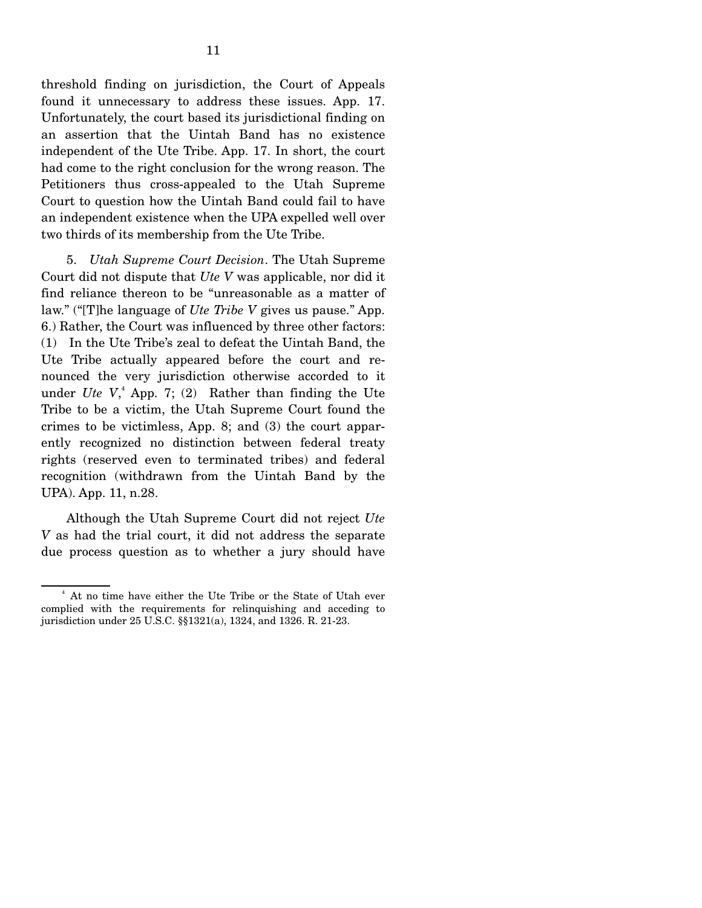threshold finding on jurisdiction, the Court of Appeals found it unnecessary to address these issues. App. 17. Unfortunately, the court based its jurisdictional finding on an assertion that the Uintah Band has no existence independent of the Ute Tribe. App. 17. In short, the court had come to the right conclusion for the wrong reason. The Petitioners thus cross-appealed to the Utah Supreme Court to question how the Uintah Band could fail to have an independent existence when the UPA expelled well over two thirds of its membership from the Ute Tribe.

 5. *Utah Supreme Court Decision*. The Utah Supreme Court did not dispute that *Ute V* was applicable, nor did it find reliance thereon to be "unreasonable as a matter of law." ("[T]he language of *Ute Tribe V* gives us pause." App. 6.) Rather, the Court was influenced by three other factors: (1) In the Ute Tribe's zeal to defeat the Uintah Band, the Ute Tribe actually appeared before the court and renounced the very jurisdiction otherwise accorded to it under *Ute V*,<sup>4</sup> App. 7; (2) Rather than finding the Ute Tribe to be a victim, the Utah Supreme Court found the crimes to be victimless, App. 8; and (3) the court apparently recognized no distinction between federal treaty rights (reserved even to terminated tribes) and federal recognition (withdrawn from the Uintah Band by the UPA). App. 11, n.28.

 Although the Utah Supreme Court did not reject *Ute V* as had the trial court, it did not address the separate due process question as to whether a jury should have

<sup>4</sup> At no time have either the Ute Tribe or the State of Utah ever complied with the requirements for relinquishing and acceding to jurisdiction under 25 U.S.C. §§1321(a), 1324, and 1326. R. 21-23.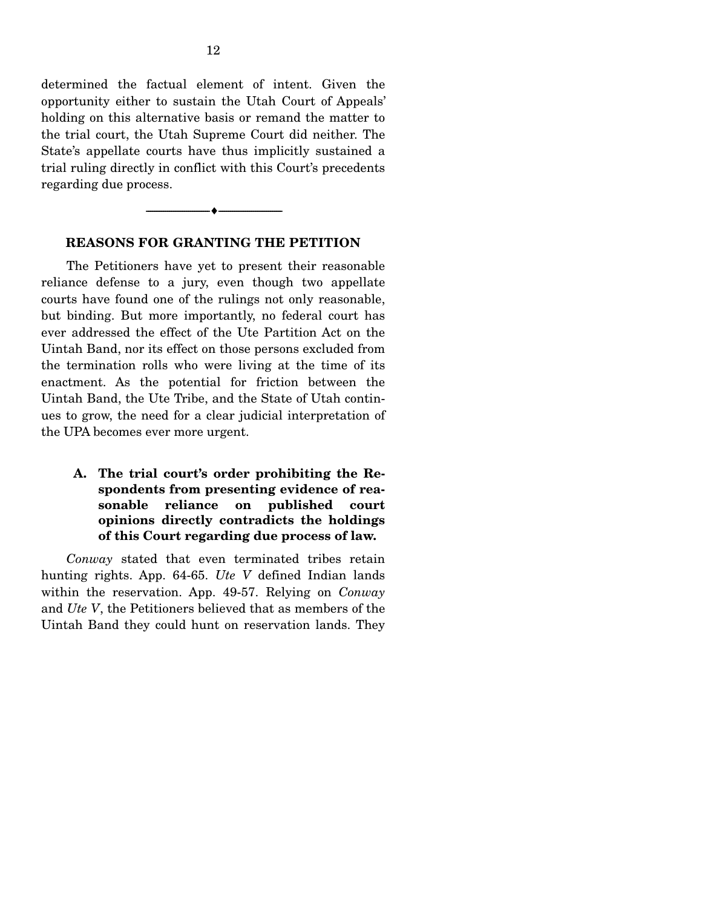determined the factual element of intent. Given the opportunity either to sustain the Utah Court of Appeals' holding on this alternative basis or remand the matter to the trial court, the Utah Supreme Court did neither. The State's appellate courts have thus implicitly sustained a trial ruling directly in conflict with this Court's precedents regarding due process.

#### **REASONS FOR GRANTING THE PETITION**

--------------------------------- ♦ ---------------------------------

 The Petitioners have yet to present their reasonable reliance defense to a jury, even though two appellate courts have found one of the rulings not only reasonable, but binding. But more importantly, no federal court has ever addressed the effect of the Ute Partition Act on the Uintah Band, nor its effect on those persons excluded from the termination rolls who were living at the time of its enactment. As the potential for friction between the Uintah Band, the Ute Tribe, and the State of Utah continues to grow, the need for a clear judicial interpretation of the UPA becomes ever more urgent.

**A. The trial court's order prohibiting the Respondents from presenting evidence of reasonable reliance on published court opinions directly contradicts the holdings of this Court regarding due process of law.** 

 *Conway* stated that even terminated tribes retain hunting rights. App. 64-65. *Ute V* defined Indian lands within the reservation. App. 49-57. Relying on *Conway* and *Ute V*, the Petitioners believed that as members of the Uintah Band they could hunt on reservation lands. They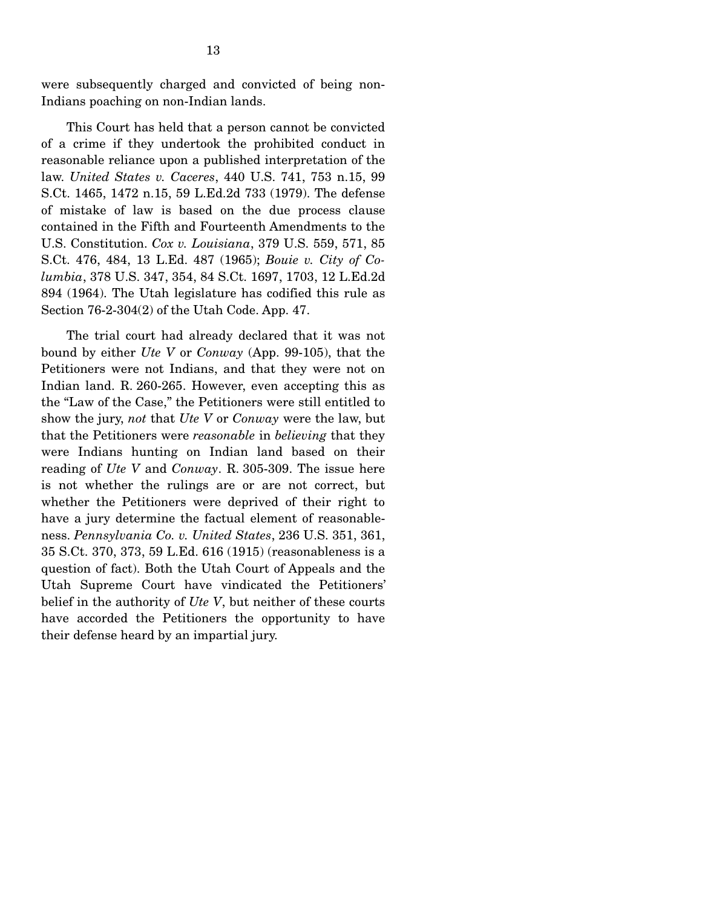were subsequently charged and convicted of being non-Indians poaching on non-Indian lands.

 This Court has held that a person cannot be convicted of a crime if they undertook the prohibited conduct in reasonable reliance upon a published interpretation of the law. *United States v. Caceres*, 440 U.S. 741, 753 n.15, 99 S.Ct. 1465, 1472 n.15, 59 L.Ed.2d 733 (1979). The defense of mistake of law is based on the due process clause contained in the Fifth and Fourteenth Amendments to the U.S. Constitution. *Cox v. Louisiana*, 379 U.S. 559, 571, 85 S.Ct. 476, 484, 13 L.Ed. 487 (1965); *Bouie v. City of Columbia*, 378 U.S. 347, 354, 84 S.Ct. 1697, 1703, 12 L.Ed.2d 894 (1964). The Utah legislature has codified this rule as Section 76-2-304(2) of the Utah Code. App. 47.

 The trial court had already declared that it was not bound by either *Ute V* or *Conway* (App. 99-105), that the Petitioners were not Indians, and that they were not on Indian land. R. 260-265. However, even accepting this as the "Law of the Case," the Petitioners were still entitled to show the jury, *not* that *Ute V* or *Conway* were the law, but that the Petitioners were *reasonable* in *believing* that they were Indians hunting on Indian land based on their reading of *Ute V* and *Conway*. R. 305-309. The issue here is not whether the rulings are or are not correct, but whether the Petitioners were deprived of their right to have a jury determine the factual element of reasonableness. *Pennsylvania Co. v. United States*, 236 U.S. 351, 361, 35 S.Ct. 370, 373, 59 L.Ed. 616 (1915) (reasonableness is a question of fact). Both the Utah Court of Appeals and the Utah Supreme Court have vindicated the Petitioners' belief in the authority of *Ute V*, but neither of these courts have accorded the Petitioners the opportunity to have their defense heard by an impartial jury.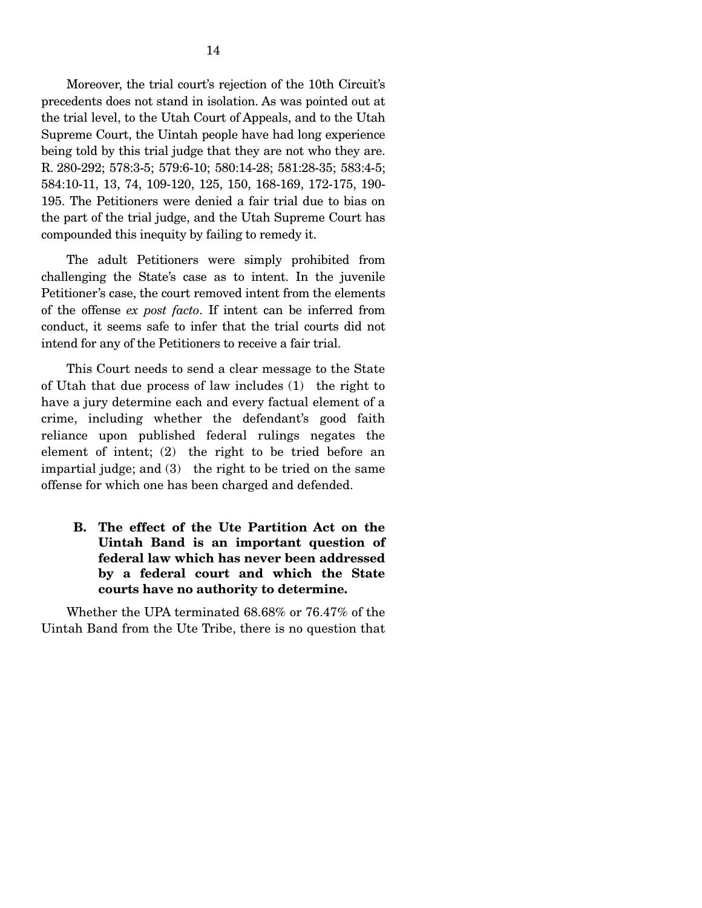Moreover, the trial court's rejection of the 10th Circuit's precedents does not stand in isolation. As was pointed out at the trial level, to the Utah Court of Appeals, and to the Utah Supreme Court, the Uintah people have had long experience being told by this trial judge that they are not who they are. R. 280-292; 578:3-5; 579:6-10; 580:14-28; 581:28-35; 583:4-5; 584:10-11, 13, 74, 109-120, 125, 150, 168-169, 172-175, 190- 195. The Petitioners were denied a fair trial due to bias on the part of the trial judge, and the Utah Supreme Court has compounded this inequity by failing to remedy it.

 The adult Petitioners were simply prohibited from challenging the State's case as to intent. In the juvenile Petitioner's case, the court removed intent from the elements of the offense *ex post facto*. If intent can be inferred from conduct, it seems safe to infer that the trial courts did not intend for any of the Petitioners to receive a fair trial.

 This Court needs to send a clear message to the State of Utah that due process of law includes (1) the right to have a jury determine each and every factual element of a crime, including whether the defendant's good faith reliance upon published federal rulings negates the element of intent; (2) the right to be tried before an impartial judge; and (3) the right to be tried on the same offense for which one has been charged and defended.

**B. The effect of the Ute Partition Act on the Uintah Band is an important question of federal law which has never been addressed by a federal court and which the State courts have no authority to determine.** 

 Whether the UPA terminated 68.68% or 76.47% of the Uintah Band from the Ute Tribe, there is no question that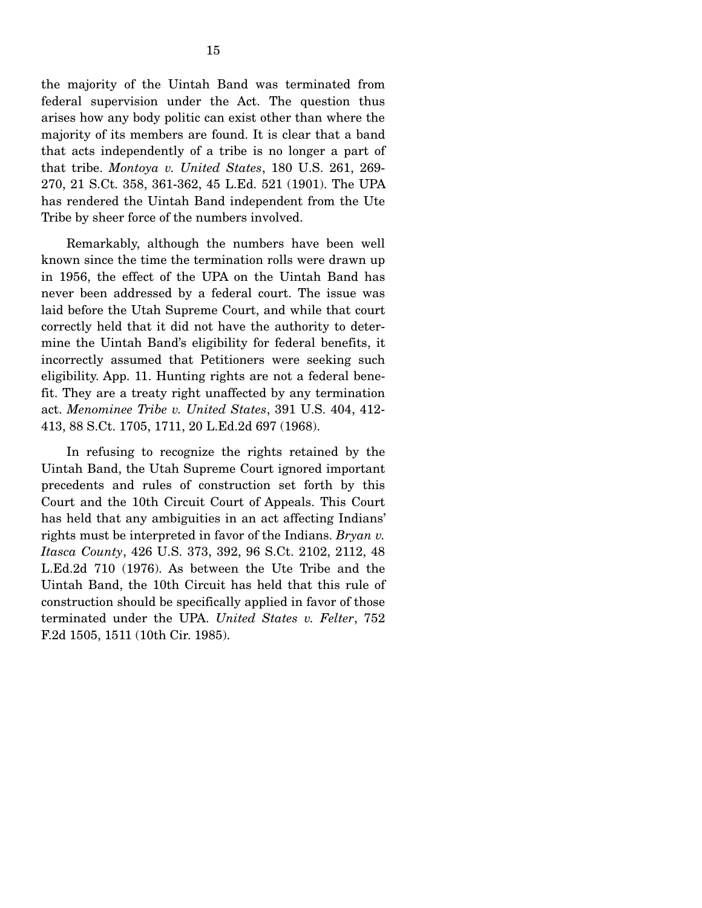the majority of the Uintah Band was terminated from federal supervision under the Act. The question thus arises how any body politic can exist other than where the majority of its members are found. It is clear that a band that acts independently of a tribe is no longer a part of that tribe. *Montoya v. United States*, 180 U.S. 261, 269- 270, 21 S.Ct. 358, 361-362, 45 L.Ed. 521 (1901). The UPA has rendered the Uintah Band independent from the Ute Tribe by sheer force of the numbers involved.

 Remarkably, although the numbers have been well known since the time the termination rolls were drawn up in 1956, the effect of the UPA on the Uintah Band has never been addressed by a federal court. The issue was laid before the Utah Supreme Court, and while that court correctly held that it did not have the authority to determine the Uintah Band's eligibility for federal benefits, it incorrectly assumed that Petitioners were seeking such eligibility. App. 11. Hunting rights are not a federal benefit. They are a treaty right unaffected by any termination act. *Menominee Tribe v. United States*, 391 U.S. 404, 412- 413, 88 S.Ct. 1705, 1711, 20 L.Ed.2d 697 (1968).

 In refusing to recognize the rights retained by the Uintah Band, the Utah Supreme Court ignored important precedents and rules of construction set forth by this Court and the 10th Circuit Court of Appeals. This Court has held that any ambiguities in an act affecting Indians' rights must be interpreted in favor of the Indians. *Bryan v. Itasca County*, 426 U.S. 373, 392, 96 S.Ct. 2102, 2112, 48 L.Ed.2d 710 (1976). As between the Ute Tribe and the Uintah Band, the 10th Circuit has held that this rule of construction should be specifically applied in favor of those terminated under the UPA. *United States v. Felter*, 752 F.2d 1505, 1511 (10th Cir. 1985).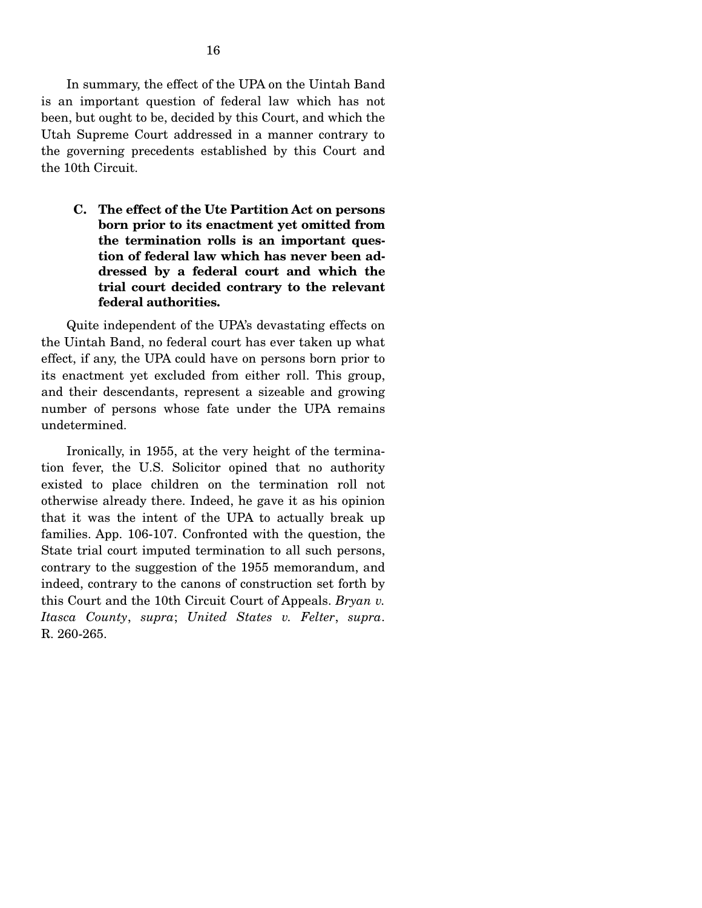In summary, the effect of the UPA on the Uintah Band is an important question of federal law which has not been, but ought to be, decided by this Court, and which the Utah Supreme Court addressed in a manner contrary to the governing precedents established by this Court and the 10th Circuit.

**C. The effect of the Ute Partition Act on persons born prior to its enactment yet omitted from the termination rolls is an important question of federal law which has never been addressed by a federal court and which the trial court decided contrary to the relevant federal authorities.** 

 Quite independent of the UPA's devastating effects on the Uintah Band, no federal court has ever taken up what effect, if any, the UPA could have on persons born prior to its enactment yet excluded from either roll. This group, and their descendants, represent a sizeable and growing number of persons whose fate under the UPA remains undetermined.

 Ironically, in 1955, at the very height of the termination fever, the U.S. Solicitor opined that no authority existed to place children on the termination roll not otherwise already there. Indeed, he gave it as his opinion that it was the intent of the UPA to actually break up families. App. 106-107. Confronted with the question, the State trial court imputed termination to all such persons, contrary to the suggestion of the 1955 memorandum, and indeed, contrary to the canons of construction set forth by this Court and the 10th Circuit Court of Appeals. *Bryan v. Itasca County*, *supra*; *United States v. Felter*, *supra*. R. 260-265.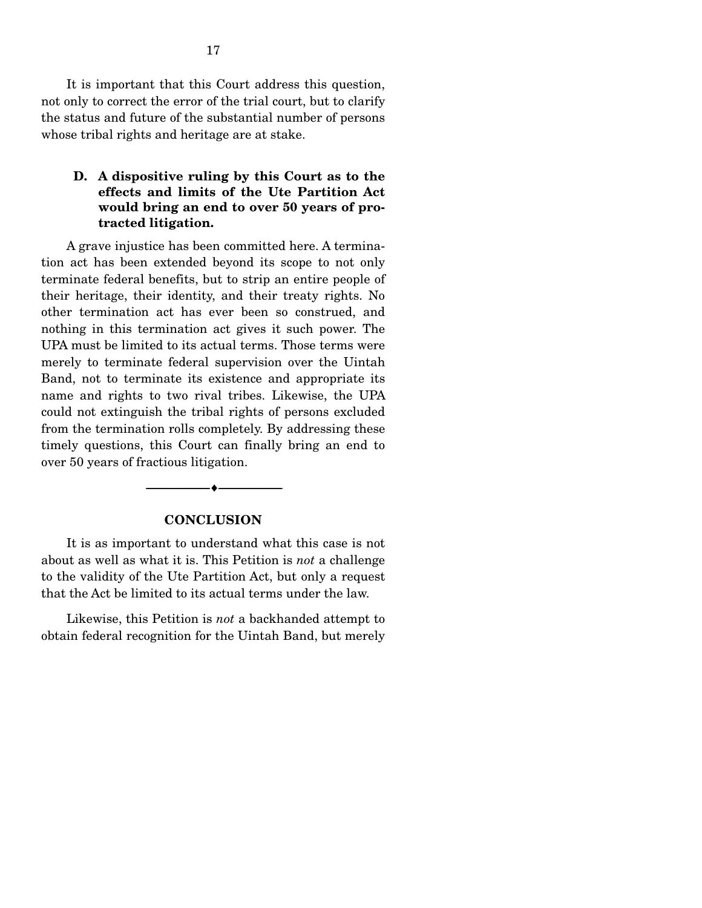It is important that this Court address this question, not only to correct the error of the trial court, but to clarify the status and future of the substantial number of persons whose tribal rights and heritage are at stake.

#### **D. A dispositive ruling by this Court as to the effects and limits of the Ute Partition Act would bring an end to over 50 years of protracted litigation.**

 A grave injustice has been committed here. A termination act has been extended beyond its scope to not only terminate federal benefits, but to strip an entire people of their heritage, their identity, and their treaty rights. No other termination act has ever been so construed, and nothing in this termination act gives it such power. The UPA must be limited to its actual terms. Those terms were merely to terminate federal supervision over the Uintah Band, not to terminate its existence and appropriate its name and rights to two rival tribes. Likewise, the UPA could not extinguish the tribal rights of persons excluded from the termination rolls completely. By addressing these timely questions, this Court can finally bring an end to over 50 years of fractious litigation.

#### **CONCLUSION**

--------------------------------- ♦ ---------------------------------

 It is as important to understand what this case is not about as well as what it is. This Petition is *not* a challenge to the validity of the Ute Partition Act, but only a request that the Act be limited to its actual terms under the law.

 Likewise, this Petition is *not* a backhanded attempt to obtain federal recognition for the Uintah Band, but merely